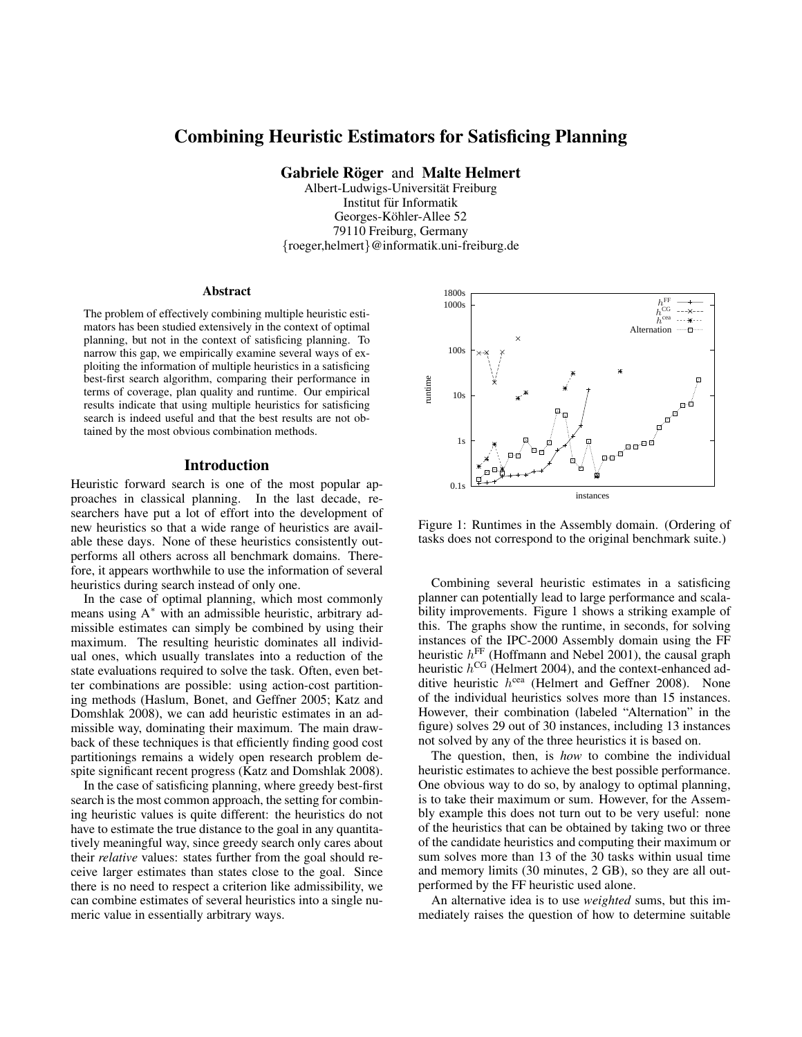# Combining Heuristic Estimators for Satisficing Planning

Gabriele Röger and Malte Helmert

Albert-Ludwigs-Universitat Freiburg ¨ Institut für Informatik Georges-Köhler-Allee 52 79110 Freiburg, Germany {roeger,helmert}@informatik.uni-freiburg.de

#### Abstract

The problem of effectively combining multiple heuristic estimators has been studied extensively in the context of optimal planning, but not in the context of satisficing planning. To narrow this gap, we empirically examine several ways of exploiting the information of multiple heuristics in a satisficing best-first search algorithm, comparing their performance in terms of coverage, plan quality and runtime. Our empirical results indicate that using multiple heuristics for satisficing search is indeed useful and that the best results are not obtained by the most obvious combination methods.

#### Introduction

Heuristic forward search is one of the most popular approaches in classical planning. In the last decade, researchers have put a lot of effort into the development of new heuristics so that a wide range of heuristics are available these days. None of these heuristics consistently outperforms all others across all benchmark domains. Therefore, it appears worthwhile to use the information of several heuristics during search instead of only one.

In the case of optimal planning, which most commonly means using A<sup>∗</sup> with an admissible heuristic, arbitrary admissible estimates can simply be combined by using their maximum. The resulting heuristic dominates all individual ones, which usually translates into a reduction of the state evaluations required to solve the task. Often, even better combinations are possible: using action-cost partitioning methods (Haslum, Bonet, and Geffner 2005; Katz and Domshlak 2008), we can add heuristic estimates in an admissible way, dominating their maximum. The main drawback of these techniques is that efficiently finding good cost partitionings remains a widely open research problem despite significant recent progress (Katz and Domshlak 2008).

In the case of satisficing planning, where greedy best-first search is the most common approach, the setting for combining heuristic values is quite different: the heuristics do not have to estimate the true distance to the goal in any quantitatively meaningful way, since greedy search only cares about their *relative* values: states further from the goal should receive larger estimates than states close to the goal. Since there is no need to respect a criterion like admissibility, we can combine estimates of several heuristics into a single numeric value in essentially arbitrary ways.



Figure 1: Runtimes in the Assembly domain. (Ordering of tasks does not correspond to the original benchmark suite.)

Combining several heuristic estimates in a satisficing planner can potentially lead to large performance and scalability improvements. Figure 1 shows a striking example of this. The graphs show the runtime, in seconds, for solving instances of the IPC-2000 Assembly domain using the FF heuristic  $h^{\text{FF}}$  (Hoffmann and Nebel 2001), the causal graph heuristic  $h^{\text{CG}}$  (Helmert 2004), and the context-enhanced additive heuristic  $h^{cea}$  (Helmert and Geffner 2008). None of the individual heuristics solves more than 15 instances. However, their combination (labeled "Alternation" in the figure) solves 29 out of 30 instances, including 13 instances not solved by any of the three heuristics it is based on.

The question, then, is *how* to combine the individual heuristic estimates to achieve the best possible performance. One obvious way to do so, by analogy to optimal planning, is to take their maximum or sum. However, for the Assembly example this does not turn out to be very useful: none of the heuristics that can be obtained by taking two or three of the candidate heuristics and computing their maximum or sum solves more than 13 of the 30 tasks within usual time and memory limits (30 minutes, 2 GB), so they are all outperformed by the FF heuristic used alone.

An alternative idea is to use *weighted* sums, but this immediately raises the question of how to determine suitable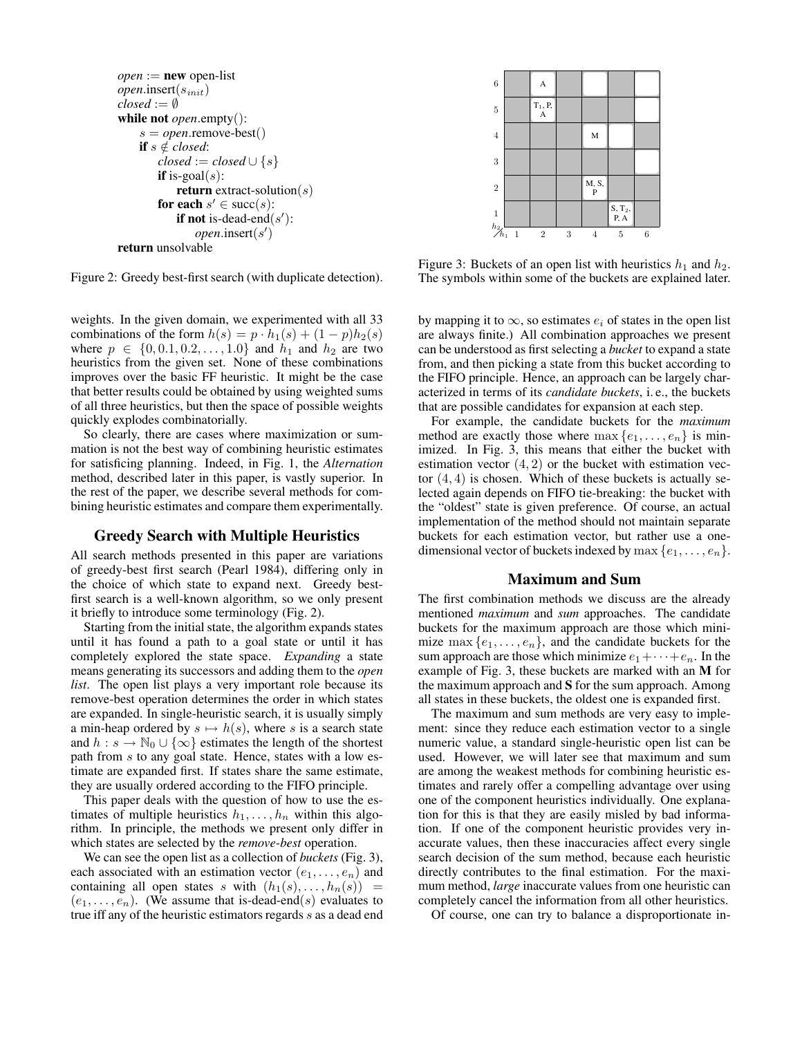```
open := new open-listopen.insert(sinit)
closed := \emptysetwhile not open.empty():
    s = open.remove-best()
    if s \notin closed:
        closed := closed \cup \{s\}if is-goal(s):
            return extract-solution(s)
        for each s' \in \text{succ}(s):
            if not is-dead-end(s'):
                open.insert(s')return unsolvable
```
Figure 2: Greedy best-first search (with duplicate detection).

weights. In the given domain, we experimented with all 33 combinations of the form  $h(s) = p \cdot h_1(s) + (1-p)h_2(s)$ where  $p \in \{0, 0.1, 0.2, ..., 1.0\}$  and  $h_1$  and  $h_2$  are two heuristics from the given set. None of these combinations improves over the basic FF heuristic. It might be the case that better results could be obtained by using weighted sums of all three heuristics, but then the space of possible weights quickly explodes combinatorially.

So clearly, there are cases where maximization or summation is not the best way of combining heuristic estimates for satisficing planning. Indeed, in Fig. 1, the *Alternation* method, described later in this paper, is vastly superior. In the rest of the paper, we describe several methods for combining heuristic estimates and compare them experimentally.

# Greedy Search with Multiple Heuristics

All search methods presented in this paper are variations of greedy-best first search (Pearl 1984), differing only in the choice of which state to expand next. Greedy bestfirst search is a well-known algorithm, so we only present it briefly to introduce some terminology (Fig. 2).

Starting from the initial state, the algorithm expands states until it has found a path to a goal state or until it has completely explored the state space. *Expanding* a state means generating its successors and adding them to the *open list*. The open list plays a very important role because its remove-best operation determines the order in which states are expanded. In single-heuristic search, it is usually simply a min-heap ordered by  $s \mapsto h(s)$ , where s is a search state and  $h : s \to \mathbb{N}_0 \cup \{\infty\}$  estimates the length of the shortest path from s to any goal state. Hence, states with a low estimate are expanded first. If states share the same estimate, they are usually ordered according to the FIFO principle.

This paper deals with the question of how to use the estimates of multiple heuristics  $h_1, \ldots, h_n$  within this algorithm. In principle, the methods we present only differ in which states are selected by the *remove-best* operation.

We can see the open list as a collection of *buckets* (Fig. 3), each associated with an estimation vector  $(e_1, \ldots, e_n)$  and containing all open states s with  $(h_1(s), \ldots, h_n(s)) =$  $(e_1, \ldots, e_n)$ . (We assume that is-dead-end(s) evaluates to true iff any of the heuristic estimators regards s as a dead end



Figure 3: Buckets of an open list with heuristics  $h_1$  and  $h_2$ . The symbols within some of the buckets are explained later.

by mapping it to  $\infty$ , so estimates  $e_i$  of states in the open list are always finite.) All combination approaches we present can be understood as first selecting a *bucket* to expand a state from, and then picking a state from this bucket according to the FIFO principle. Hence, an approach can be largely characterized in terms of its *candidate buckets*, i. e., the buckets that are possible candidates for expansion at each step.

For example, the candidate buckets for the *maximum* method are exactly those where  $\max\{e_1, \ldots, e_n\}$  is minimized. In Fig. 3, this means that either the bucket with estimation vector  $(4, 2)$  or the bucket with estimation vector  $(4, 4)$  is chosen. Which of these buckets is actually selected again depends on FIFO tie-breaking: the bucket with the "oldest" state is given preference. Of course, an actual implementation of the method should not maintain separate buckets for each estimation vector, but rather use a onedimensional vector of buckets indexed by max  $\{e_1, \ldots, e_n\}$ .

# Maximum and Sum

The first combination methods we discuss are the already mentioned *maximum* and *sum* approaches. The candidate buckets for the maximum approach are those which minimize  $\max\{e_1,\ldots,e_n\}$ , and the candidate buckets for the sum approach are those which minimize  $e_1 + \cdots + e_n$ . In the example of Fig. 3, these buckets are marked with an M for the maximum approach and S for the sum approach. Among all states in these buckets, the oldest one is expanded first.

The maximum and sum methods are very easy to implement: since they reduce each estimation vector to a single numeric value, a standard single-heuristic open list can be used. However, we will later see that maximum and sum are among the weakest methods for combining heuristic estimates and rarely offer a compelling advantage over using one of the component heuristics individually. One explanation for this is that they are easily misled by bad information. If one of the component heuristic provides very inaccurate values, then these inaccuracies affect every single search decision of the sum method, because each heuristic directly contributes to the final estimation. For the maximum method, *large* inaccurate values from one heuristic can completely cancel the information from all other heuristics.

Of course, one can try to balance a disproportionate in-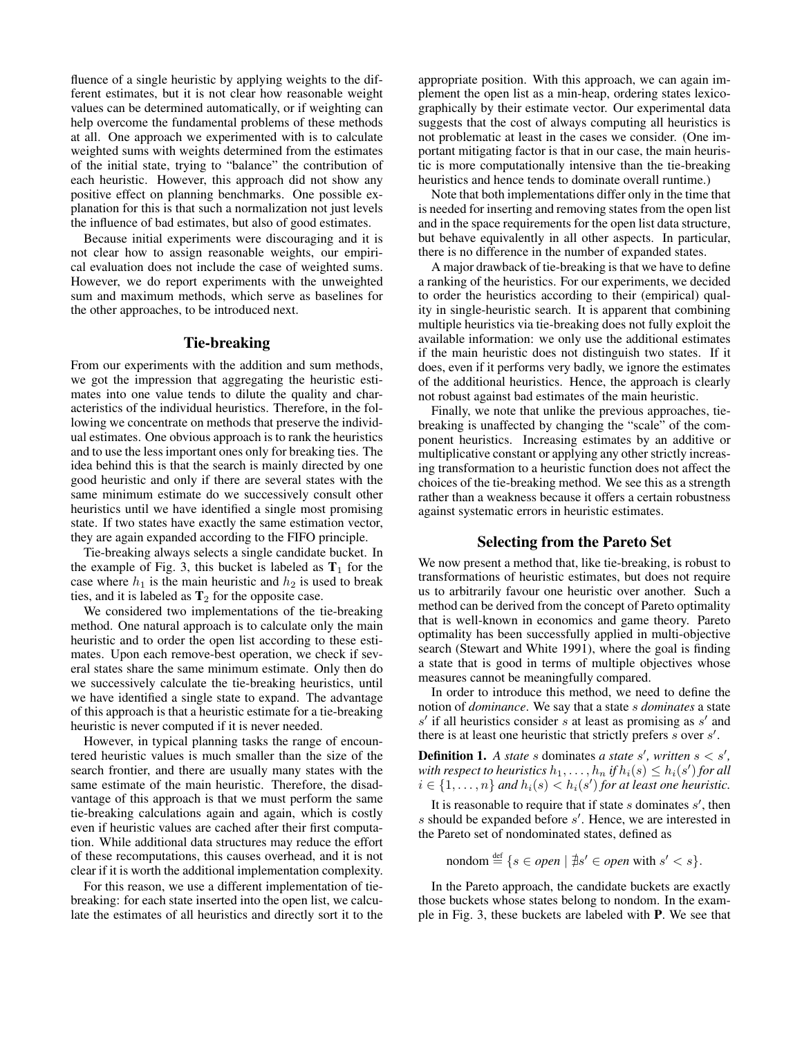fluence of a single heuristic by applying weights to the different estimates, but it is not clear how reasonable weight values can be determined automatically, or if weighting can help overcome the fundamental problems of these methods at all. One approach we experimented with is to calculate weighted sums with weights determined from the estimates of the initial state, trying to "balance" the contribution of each heuristic. However, this approach did not show any positive effect on planning benchmarks. One possible explanation for this is that such a normalization not just levels the influence of bad estimates, but also of good estimates.

Because initial experiments were discouraging and it is not clear how to assign reasonable weights, our empirical evaluation does not include the case of weighted sums. However, we do report experiments with the unweighted sum and maximum methods, which serve as baselines for the other approaches, to be introduced next.

# Tie-breaking

From our experiments with the addition and sum methods, we got the impression that aggregating the heuristic estimates into one value tends to dilute the quality and characteristics of the individual heuristics. Therefore, in the following we concentrate on methods that preserve the individual estimates. One obvious approach is to rank the heuristics and to use the less important ones only for breaking ties. The idea behind this is that the search is mainly directed by one good heuristic and only if there are several states with the same minimum estimate do we successively consult other heuristics until we have identified a single most promising state. If two states have exactly the same estimation vector, they are again expanded according to the FIFO principle.

Tie-breaking always selects a single candidate bucket. In the example of Fig. 3, this bucket is labeled as  $T_1$  for the case where  $h_1$  is the main heuristic and  $h_2$  is used to break ties, and it is labeled as  $T_2$  for the opposite case.

We considered two implementations of the tie-breaking method. One natural approach is to calculate only the main heuristic and to order the open list according to these estimates. Upon each remove-best operation, we check if several states share the same minimum estimate. Only then do we successively calculate the tie-breaking heuristics, until we have identified a single state to expand. The advantage of this approach is that a heuristic estimate for a tie-breaking heuristic is never computed if it is never needed.

However, in typical planning tasks the range of encountered heuristic values is much smaller than the size of the search frontier, and there are usually many states with the same estimate of the main heuristic. Therefore, the disadvantage of this approach is that we must perform the same tie-breaking calculations again and again, which is costly even if heuristic values are cached after their first computation. While additional data structures may reduce the effort of these recomputations, this causes overhead, and it is not clear if it is worth the additional implementation complexity.

For this reason, we use a different implementation of tiebreaking: for each state inserted into the open list, we calculate the estimates of all heuristics and directly sort it to the

appropriate position. With this approach, we can again implement the open list as a min-heap, ordering states lexicographically by their estimate vector. Our experimental data suggests that the cost of always computing all heuristics is not problematic at least in the cases we consider. (One important mitigating factor is that in our case, the main heuristic is more computationally intensive than the tie-breaking heuristics and hence tends to dominate overall runtime.)

Note that both implementations differ only in the time that is needed for inserting and removing states from the open list and in the space requirements for the open list data structure, but behave equivalently in all other aspects. In particular, there is no difference in the number of expanded states.

A major drawback of tie-breaking is that we have to define a ranking of the heuristics. For our experiments, we decided to order the heuristics according to their (empirical) quality in single-heuristic search. It is apparent that combining multiple heuristics via tie-breaking does not fully exploit the available information: we only use the additional estimates if the main heuristic does not distinguish two states. If it does, even if it performs very badly, we ignore the estimates of the additional heuristics. Hence, the approach is clearly not robust against bad estimates of the main heuristic.

Finally, we note that unlike the previous approaches, tiebreaking is unaffected by changing the "scale" of the component heuristics. Increasing estimates by an additive or multiplicative constant or applying any other strictly increasing transformation to a heuristic function does not affect the choices of the tie-breaking method. We see this as a strength rather than a weakness because it offers a certain robustness against systematic errors in heuristic estimates.

## Selecting from the Pareto Set

We now present a method that, like tie-breaking, is robust to transformations of heuristic estimates, but does not require us to arbitrarily favour one heuristic over another. Such a method can be derived from the concept of Pareto optimality that is well-known in economics and game theory. Pareto optimality has been successfully applied in multi-objective search (Stewart and White 1991), where the goal is finding a state that is good in terms of multiple objectives whose measures cannot be meaningfully compared.

In order to introduce this method, we need to define the notion of *dominance*. We say that a state s *dominates* a state  $s'$  if all heuristics consider s at least as promising as  $s'$  and there is at least one heuristic that strictly prefers  $\overline{s}$  over  $\overline{s}'$ .

**Definition 1.** A state s dominates a state s', written  $s < s'$ , with respect to heuristics  $h_1, \ldots, h_n$  if  $h_i(s) \leq h_i(s')$  for all  $i \in \{1, \ldots, n\}$  and  $h_i(s) < h_i(s')$  for at least one heuristic.

It is reasonable to require that if state  $s$  dominates  $s'$ , then  $s$  should be expanded before  $s'$ . Hence, we are interested in the Pareto set of nondominated states, defined as

$$
n\text{ondom} \stackrel{\text{def}}{=} \{ s \in open \mid \nexists s' \in open \text{ with } s' < s \}.
$$

In the Pareto approach, the candidate buckets are exactly those buckets whose states belong to nondom. In the example in Fig. 3, these buckets are labeled with P. We see that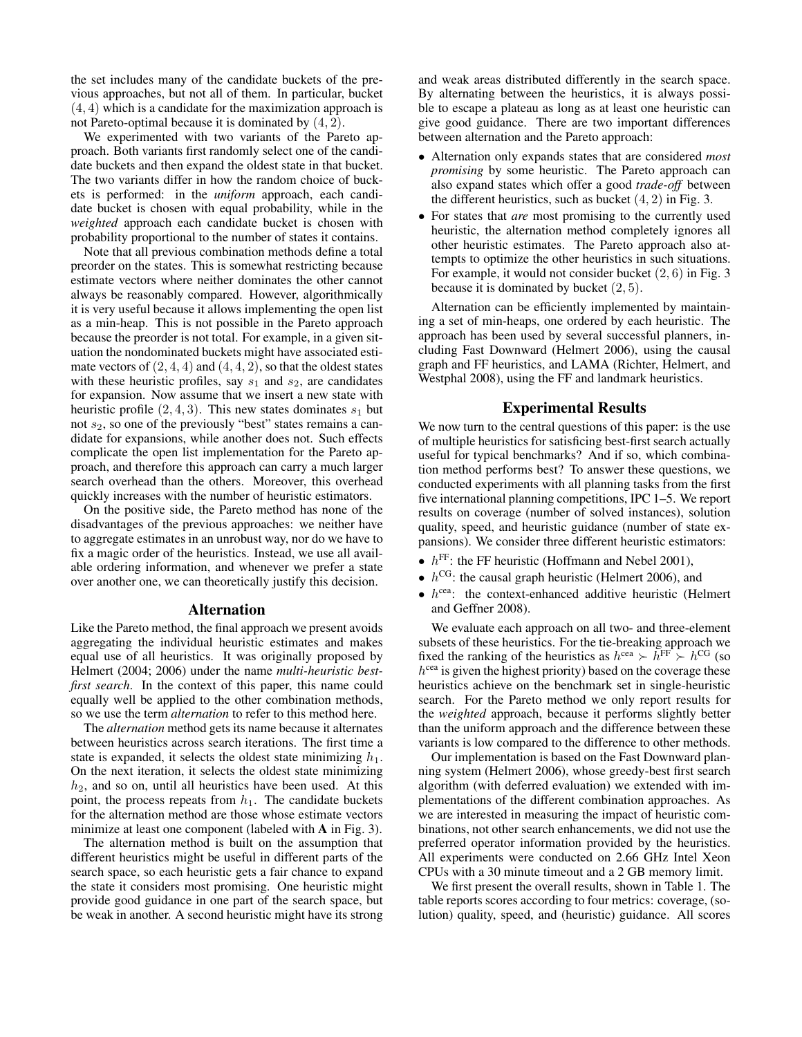the set includes many of the candidate buckets of the previous approaches, but not all of them. In particular, bucket (4, 4) which is a candidate for the maximization approach is not Pareto-optimal because it is dominated by (4, 2).

We experimented with two variants of the Pareto approach. Both variants first randomly select one of the candidate buckets and then expand the oldest state in that bucket. The two variants differ in how the random choice of buckets is performed: in the *uniform* approach, each candidate bucket is chosen with equal probability, while in the *weighted* approach each candidate bucket is chosen with probability proportional to the number of states it contains.

Note that all previous combination methods define a total preorder on the states. This is somewhat restricting because estimate vectors where neither dominates the other cannot always be reasonably compared. However, algorithmically it is very useful because it allows implementing the open list as a min-heap. This is not possible in the Pareto approach because the preorder is not total. For example, in a given situation the nondominated buckets might have associated estimate vectors of  $(2, 4, 4)$  and  $(4, 4, 2)$ , so that the oldest states with these heuristic profiles, say  $s_1$  and  $s_2$ , are candidates for expansion. Now assume that we insert a new state with heuristic profile  $(2, 4, 3)$ . This new states dominates  $s_1$  but not  $s_2$ , so one of the previously "best" states remains a candidate for expansions, while another does not. Such effects complicate the open list implementation for the Pareto approach, and therefore this approach can carry a much larger search overhead than the others. Moreover, this overhead quickly increases with the number of heuristic estimators.

On the positive side, the Pareto method has none of the disadvantages of the previous approaches: we neither have to aggregate estimates in an unrobust way, nor do we have to fix a magic order of the heuristics. Instead, we use all available ordering information, and whenever we prefer a state over another one, we can theoretically justify this decision.

#### Alternation

Like the Pareto method, the final approach we present avoids aggregating the individual heuristic estimates and makes equal use of all heuristics. It was originally proposed by Helmert (2004; 2006) under the name *multi-heuristic bestfirst search*. In the context of this paper, this name could equally well be applied to the other combination methods, so we use the term *alternation* to refer to this method here.

The *alternation* method gets its name because it alternates between heuristics across search iterations. The first time a state is expanded, it selects the oldest state minimizing  $h_1$ . On the next iteration, it selects the oldest state minimizing  $h<sub>2</sub>$ , and so on, until all heuristics have been used. At this point, the process repeats from  $h_1$ . The candidate buckets for the alternation method are those whose estimate vectors minimize at least one component (labeled with A in Fig. 3).

The alternation method is built on the assumption that different heuristics might be useful in different parts of the search space, so each heuristic gets a fair chance to expand the state it considers most promising. One heuristic might provide good guidance in one part of the search space, but be weak in another. A second heuristic might have its strong and weak areas distributed differently in the search space. By alternating between the heuristics, it is always possible to escape a plateau as long as at least one heuristic can give good guidance. There are two important differences between alternation and the Pareto approach:

- Alternation only expands states that are considered *most promising* by some heuristic. The Pareto approach can also expand states which offer a good *trade-off* between the different heuristics, such as bucket  $(4, 2)$  in Fig. 3.
- For states that *are* most promising to the currently used heuristic, the alternation method completely ignores all other heuristic estimates. The Pareto approach also attempts to optimize the other heuristics in such situations. For example, it would not consider bucket (2, 6) in Fig. 3 because it is dominated by bucket  $(2, 5)$ .

Alternation can be efficiently implemented by maintaining a set of min-heaps, one ordered by each heuristic. The approach has been used by several successful planners, including Fast Downward (Helmert 2006), using the causal graph and FF heuristics, and LAMA (Richter, Helmert, and Westphal 2008), using the FF and landmark heuristics.

#### Experimental Results

We now turn to the central questions of this paper: is the use of multiple heuristics for satisficing best-first search actually useful for typical benchmarks? And if so, which combination method performs best? To answer these questions, we conducted experiments with all planning tasks from the first five international planning competitions, IPC 1–5. We report results on coverage (number of solved instances), solution quality, speed, and heuristic guidance (number of state expansions). We consider three different heuristic estimators:

- $h^{\text{FF}}$ : the FF heuristic (Hoffmann and Nebel 2001),
- $h^{\text{CG}}$ : the causal graph heuristic (Helmert 2006), and
- $\bullet$   $h^{\text{cea}}$ : the context-enhanced additive heuristic (Helmert and Geffner 2008).

We evaluate each approach on all two- and three-element subsets of these heuristics. For the tie-breaking approach we fixed the ranking of the heuristics as  $h^{\text{cea}} \succ \bar{h}^{\text{FF}} \succ h^{\text{CG}}$  (so h<sup>cea</sup> is given the highest priority) based on the coverage these heuristics achieve on the benchmark set in single-heuristic search. For the Pareto method we only report results for the *weighted* approach, because it performs slightly better than the uniform approach and the difference between these variants is low compared to the difference to other methods.

Our implementation is based on the Fast Downward planning system (Helmert 2006), whose greedy-best first search algorithm (with deferred evaluation) we extended with implementations of the different combination approaches. As we are interested in measuring the impact of heuristic combinations, not other search enhancements, we did not use the preferred operator information provided by the heuristics. All experiments were conducted on 2.66 GHz Intel Xeon CPUs with a 30 minute timeout and a 2 GB memory limit.

We first present the overall results, shown in Table 1. The table reports scores according to four metrics: coverage, (solution) quality, speed, and (heuristic) guidance. All scores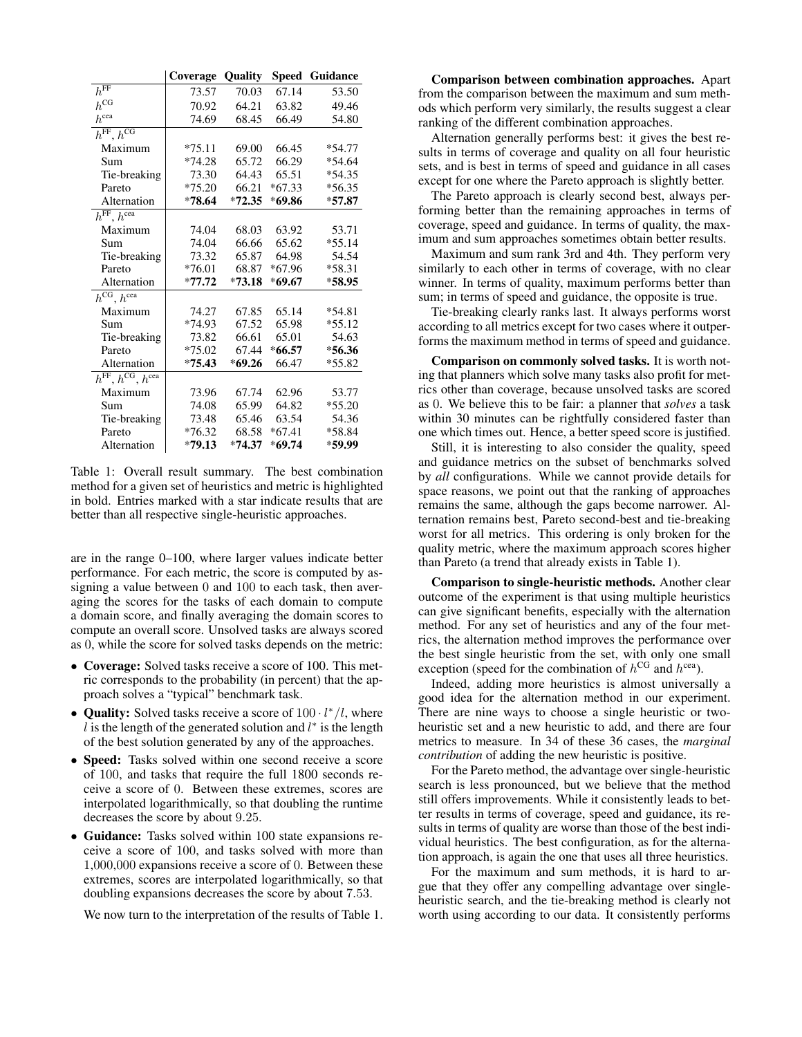|                                                | Coverage | <b>Quality</b> |          | <b>Speed Guidance</b> |  |
|------------------------------------------------|----------|----------------|----------|-----------------------|--|
| $h^{\overline{\text{FF}}}$                     | 73.57    | 70.03          | 67.14    | 53.50                 |  |
| $h^{\text{CG}}$                                | 70.92    | 64.21          | 63.82    | 49.46                 |  |
| $h^{\rm cea}$                                  | 74.69    | 68.45          | 66.49    | 54.80                 |  |
| $h^{\text{FF}}, h^{\text{CG}}$                 |          |                |          |                       |  |
| Maximum                                        | $*75.11$ | 69.00          | 66.45    | $*54.77$              |  |
| Sum                                            | $*74.28$ | 65.72          | 66.29    | $*54.64$              |  |
| Tie-breaking                                   | 73.30    | 64.43          | 65.51    | $*54.35$              |  |
| Pareto                                         | $*75.20$ | 66.21          | $*67.33$ | $*56.35$              |  |
| Alternation                                    | *78.64   | $*72.35$       | $*69.86$ | $*57.87$              |  |
| $h^{\text{FF}}$ , $h^{\text{cea}}$             |          |                |          |                       |  |
| Maximum                                        | 74.04    | 68.03          | 63.92    | 53.71                 |  |
| Sum                                            | 74.04    | 66.66          | 65.62    | $*55.14$              |  |
| Tie-breaking                                   | 73.32    | 65.87          | 64.98    | 54.54                 |  |
| Pareto                                         | $*76.01$ | 68.87          | $*67.96$ | $*58.31$              |  |
| Alternation                                    | $*77.72$ | $*73.18$       | $*69.67$ | $*58.95$              |  |
| $h^{\text{CG}}, h^{\text{cea}}$                |          |                |          |                       |  |
| Maximum                                        | 74.27    | 67.85          | 65.14    | *54.81                |  |
| Sum                                            | $*74.93$ | 67.52          | 65.98    | $*55.12$              |  |
| Tie-breaking                                   | 73.82    | 66.61          | 65.01    | 54.63                 |  |
| Pareto                                         | $*75.02$ | 67.44          | $*66.57$ | $*56.36$              |  |
| Alternation                                    | $*75.43$ | $*69.26$       | 66.47    | $*55.82$              |  |
| $h^{\text{FF}}, h^{\text{CG}}, h^{\text{cea}}$ |          |                |          |                       |  |
| Maximum                                        | 73.96    | 67.74          | 62.96    | 53.77                 |  |
| Sum                                            | 74.08    | 65.99          | 64.82    | $*55.20$              |  |
| Tie-breaking                                   | 73.48    | 65.46          | 63.54    | 54.36                 |  |
| Pareto                                         | $*76.32$ | 68.58          | $*67.41$ | *58.84                |  |
| Alternation                                    | $*79.13$ | $*74.37$       | $*69.74$ | *59.99                |  |

Table 1: Overall result summary. The best combination method for a given set of heuristics and metric is highlighted in bold. Entries marked with a star indicate results that are better than all respective single-heuristic approaches.

are in the range  $0-100$ , where larger values indicate better performance. For each metric, the score is computed by assigning a value between 0 and 100 to each task, then averaging the scores for the tasks of each domain to compute a domain score, and finally averaging the domain scores to compute an overall score. Unsolved tasks are always scored as 0, while the score for solved tasks depends on the metric:

- Coverage: Solved tasks receive a score of 100. This metric corresponds to the probability (in percent) that the approach solves a "typical" benchmark task.
- Quality: Solved tasks receive a score of  $100 \cdot l^*/l$ , where  $l$  is the length of the generated solution and  $l^*$  is the length of the best solution generated by any of the approaches.
- Speed: Tasks solved within one second receive a score of 100, and tasks that require the full 1800 seconds receive a score of 0. Between these extremes, scores are interpolated logarithmically, so that doubling the runtime decreases the score by about 9.25.
- Guidance: Tasks solved within 100 state expansions receive a score of 100, and tasks solved with more than  $1,000,000$  expansions receive a score of 0. Between these extremes, scores are interpolated logarithmically, so that doubling expansions decreases the score by about 7.53.

We now turn to the interpretation of the results of Table 1.

**Comparison between combination approaches.** Apart from the comparison between the maximum and sum methods which perform very similarly, the results suggest a clear ranking of the different combination approaches.

Alternation generally performs best: it gives the best results in terms of coverage and quality on all four heuristic sets, and is best in terms of speed and guidance in all cases except for one where the Pareto approach is slightly better.

The Pareto approach is clearly second best, always performing better than the remaining approaches in terms of coverage, speed and guidance. In terms of quality, the maximum and sum approaches sometimes obtain better results.

Maximum and sum rank 3rd and 4th. They perform very similarly to each other in terms of coverage, with no clear winner. In terms of quality, maximum performs better than sum; in terms of speed and guidance, the opposite is true.

Tie-breaking clearly ranks last. It always performs worst according to all metrics except for two cases where it outperforms the maximum method in terms of speed and guidance.

Comparison on commonly solved tasks. It is worth noting that planners which solve many tasks also profit for metrics other than coverage, because unsolved tasks are scored as 0. We believe this to be fair: a planner that solves a task within 30 minutes can be rightfully considered faster than one which times out. Hence, a better speed score is justified.

Still, it is interesting to also consider the quality, speed and guidance metrics on the subset of benchmarks solved by all configurations. While we cannot provide details for space reasons, we point out that the ranking of approaches remains the same, although the gaps become narrower. Alternation remains best, Pareto second-best and tie-breaking worst for all metrics. This ordering is only broken for the quality metric, where the maximum approach scores higher than Pareto (a trend that already exists in Table 1).

Comparison to single-heuristic methods. Another clear outcome of the experiment is that using multiple heuristics can give significant benefits, especially with the alternation method. For any set of heuristics and any of the four metrics, the alternation method improves the performance over the best single heuristic from the set, with only one small exception (speed for the combination of  $h^{\text{CG}}$  and  $h^{\text{cea}}$ ).

Indeed, adding more heuristics is almost universally a good idea for the alternation method in our experiment. There are nine ways to choose a single heuristic or twoheuristic set and a new heuristic to add, and there are four metrics to measure. In 34 of these 36 cases, the *marginal* contribution of adding the new heuristic is positive.

For the Pareto method, the advantage over single-heuristic search is less pronounced, but we believe that the method still offers improvements. While it consistently leads to better results in terms of coverage, speed and guidance, its results in terms of quality are worse than those of the best individual heuristics. The best configuration, as for the alternation approach, is again the one that uses all three heuristics.

For the maximum and sum methods, it is hard to argue that they offer any compelling advantage over singleheuristic search, and the tie-breaking method is clearly not worth using according to our data. It consistently performs